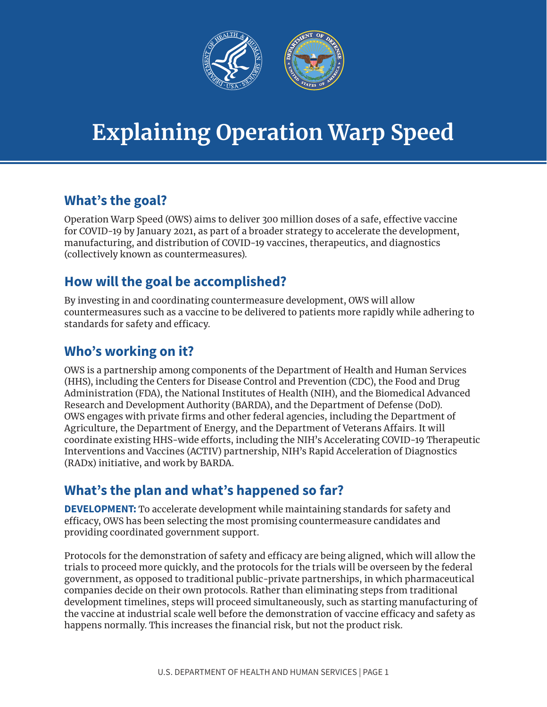

# **Explaining Operation Warp Speed**

## **What's the goal?**

Operation Warp Speed (OWS) aims to deliver 300 million doses of a safe, effective vaccine for COVID-19 by January 2021, as part of a broader strategy to accelerate the development, manufacturing, and distribution of COVID-19 vaccines, therapeutics, and diagnostics (collectively known as countermeasures).

## **How will the goal be accomplished?**

By investing in and coordinating countermeasure development, OWS will allow countermeasures such as a vaccine to be delivered to patients more rapidly while adhering to standards for safety and efficacy.

## **Who's working on it?**

OWS is a partnership among components of the Department of Health and Human Services (HHS), including the Centers for Disease Control and Prevention (CDC), the Food and Drug Administration (FDA), the National Institutes of Health (NIH), and the Biomedical Advanced Research and Development Authority (BARDA), and the Department of Defense (DoD). OWS engages with private firms and other federal agencies, including the Department of Agriculture, the Department of Energy, and the Department of Veterans Affairs. It will coordinate existing HHS-wide efforts, including the NIH's Accelerating COVID-19 Therapeutic Interventions and Vaccines (ACTIV) partnership, NIH's Rapid Acceleration of Diagnostics (RADx) initiative, and work by BARDA.

## **What's the plan and what's happened so far?**

**DEVELOPMENT:** To accelerate development while maintaining standards for safety and efficacy, OWS has been selecting the most promising countermeasure candidates and providing coordinated government support.

Protocols for the demonstration of safety and efficacy are being aligned, which will allow the trials to proceed more quickly, and the protocols for the trials will be overseen by the federal government, as opposed to traditional public-private partnerships, in which pharmaceutical companies decide on their own protocols. Rather than eliminating steps from traditional development timelines, steps will proceed simultaneously, such as starting manufacturing of the vaccine at industrial scale well before the demonstration of vaccine efficacy and safety as happens normally. This increases the financial risk, but not the product risk.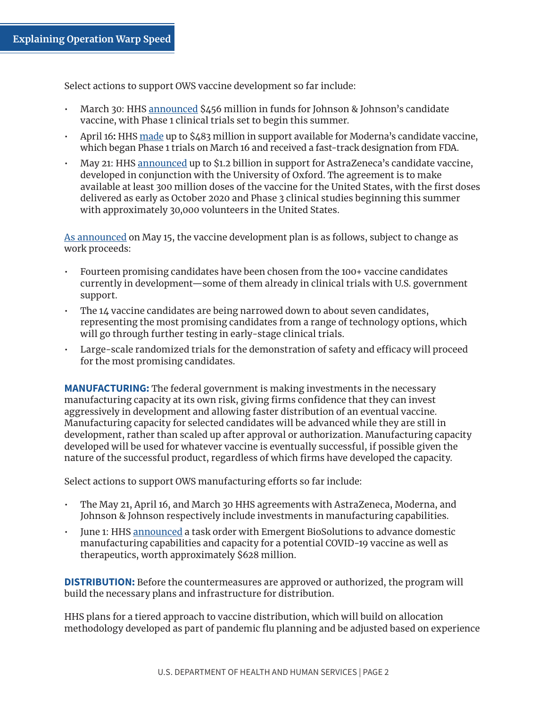Select actions to support OWS vaccine development so far include:

- March 30: HHS [announced](https://www.hhs.gov/about/news/2020/03/30/hhs-accelerates-clinical-trials-prepares-manufacturing-covid-19-vaccines.html) \$456 million in funds for Johnson & Johnson's candidate vaccine, with Phase 1 clinical trials set to begin this summer.
- April 16: HHS  $\overline{\text{made}}$  up to \$483 million in support available for Moderna's candidate vaccine, which began Phase 1 trials on March 16 and received a fast-track designation from FDA.
- May 21: HHS [announced](https://www.hhs.gov/about/news/2020/05/21/trump-administration-accelerates-astrazeneca-covid-19-vaccine-to-be-available-beginning-in-october.html) up to \$1.2 billion in support for AstraZeneca's candidate vaccine, developed in conjunction with the University of Oxford. The agreement is to make available at least 300 million doses of the vaccine for the United States, with the first doses delivered as early as October 2020 and Phase 3 clinical studies beginning this summer with approximately 30,000 volunteers in the United States. •

[As announced](https://www.hhs.gov/about/news/2020/05/15/trump-administration-announces-framework-and-leadership-for-operation-warp-speed.html) on May 15, the vaccine development plan is as follows, subject to change as work proceeds:

- Fourteen promising candidates have been chosen from the 100+ vaccine candidates currently in development—some of them already in clinical trials with U.S. government support.
- The 14 vaccine candidates are being narrowed down to about seven candidates, representing the most promising candidates from a range of technology options, which will go through further testing in early-stage clinical trials. •
- Large-scale randomized trials for the demonstration of safety and efficacy will proceed for the most promising candidates. •

**MANUFACTURING:** The federal government is making investments in the necessary manufacturing capacity at its own risk, giving firms confidence that they can invest aggressively in development and allowing faster distribution of an eventual vaccine. Manufacturing capacity for selected candidates will be advanced while they are still in development, rather than scaled up after approval or authorization. Manufacturing capacity developed will be used for whatever vaccine is eventually successful, if possible given the nature of the successful product, regardless of which firms have developed the capacity.

Select actions to support OWS manufacturing efforts so far include:

- The May 21, April 16, and March 30 HHS agreements with AstraZeneca, Moderna, and Johnson & Johnson respectively include investments in manufacturing capabilities.
- June 1: HHS [announced](https://www.hhs.gov/about/news/2020/06/01/hhs-adds-628-million-contract-emergent-biosolutions-secure-manufacturing-capacity-operation-warp-speed.html) a task order with Emergent BioSolutions to advance domestic manufacturing capabilities and capacity for a potential COVID-19 vaccine as well as therapeutics, worth approximately \$628 million.

**DISTRIBUTION:** Before the countermeasures are approved or authorized, the program will build the necessary plans and infrastructure for distribution.

HHS plans for a tiered approach to vaccine distribution, which will build on allocation methodology developed as part of pandemic flu planning and be adjusted based on experience